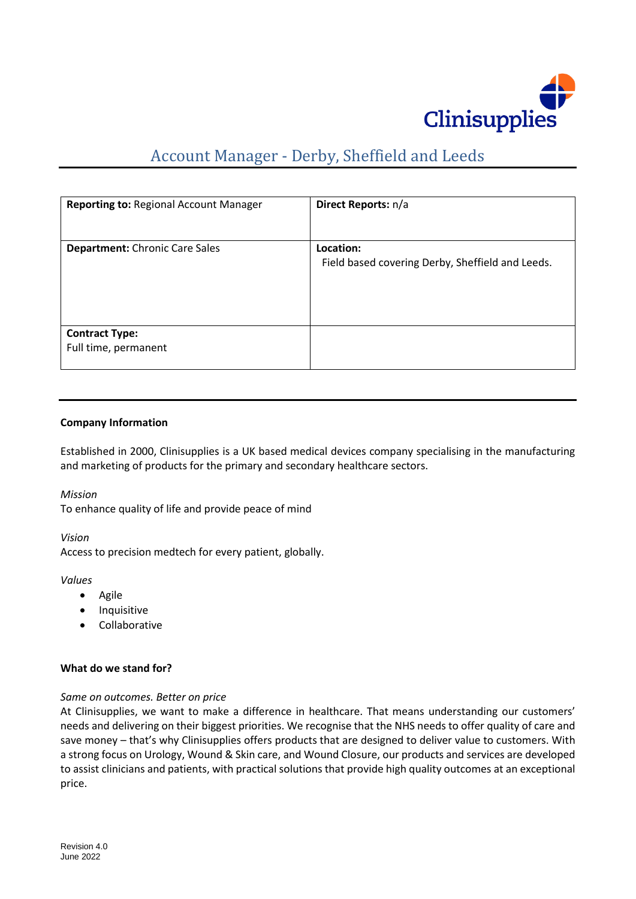

# Account Manager - Derby, Sheffield and Leeds

| <b>Reporting to: Regional Account Manager</b> | Direct Reports: n/a                                           |
|-----------------------------------------------|---------------------------------------------------------------|
| <b>Department:</b> Chronic Care Sales         | Location:<br>Field based covering Derby, Sheffield and Leeds. |
| <b>Contract Type:</b><br>Full time, permanent |                                                               |

# **Company Information**

Established in 2000, Clinisupplies is a UK based medical devices company specialising in the manufacturing and marketing of products for the primary and secondary healthcare sectors.

*Mission*

To enhance quality of life and provide peace of mind

*Vision*

Access to precision medtech for every patient, globally.

*Values*

- Agile
- Inquisitive
- Collaborative

#### **What do we stand for?**

#### *Same on outcomes. Better on price*

At Clinisupplies, we want to make a difference in healthcare. That means understanding our customers' needs and delivering on their biggest priorities. We recognise that the NHS needs to offer quality of care and save money – that's why Clinisupplies offers products that are designed to deliver value to customers. With a strong focus on Urology, Wound & Skin care, and Wound Closure, our products and services are developed to assist clinicians and patients, with practical solutions that provide high quality outcomes at an exceptional price.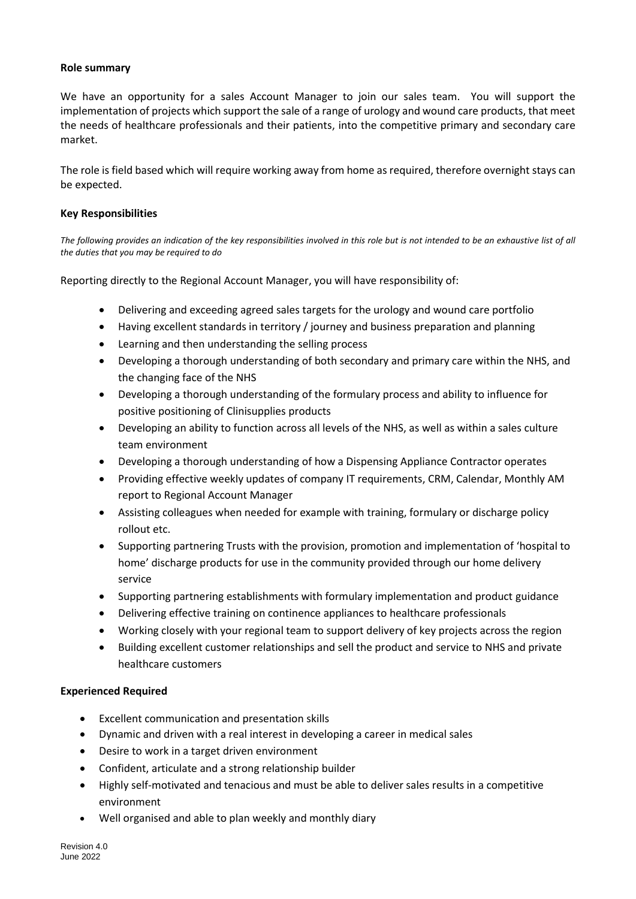# **Role summary**

We have an opportunity for a sales Account Manager to join our sales team. You will support the implementation of projects which support the sale of a range of urology and wound care products, that meet the needs of healthcare professionals and their patients, into the competitive primary and secondary care market.

The role is field based which will require working away from home as required, therefore overnight stays can be expected.

# **Key Responsibilities**

*The following provides an indication of the key responsibilities involved in this role but is not intended to be an exhaustive list of all the duties that you may be required to do*

Reporting directly to the Regional Account Manager, you will have responsibility of:

- Delivering and exceeding agreed sales targets for the urology and wound care portfolio
- Having excellent standards in territory / journey and business preparation and planning
- Learning and then understanding the selling process
- Developing a thorough understanding of both secondary and primary care within the NHS, and the changing face of the NHS
- Developing a thorough understanding of the formulary process and ability to influence for positive positioning of Clinisupplies products
- Developing an ability to function across all levels of the NHS, as well as within a sales culture team environment
- Developing a thorough understanding of how a Dispensing Appliance Contractor operates
- Providing effective weekly updates of company IT requirements, CRM, Calendar, Monthly AM report to Regional Account Manager
- Assisting colleagues when needed for example with training, formulary or discharge policy rollout etc.
- Supporting partnering Trusts with the provision, promotion and implementation of 'hospital to home' discharge products for use in the community provided through our home delivery service
- Supporting partnering establishments with formulary implementation and product guidance
- Delivering effective training on continence appliances to healthcare professionals
- Working closely with your regional team to support delivery of key projects across the region
- Building excellent customer relationships and sell the product and service to NHS and private healthcare customers

# **Experienced Required**

- Excellent communication and presentation skills
- Dynamic and driven with a real interest in developing a career in medical sales
- Desire to work in a target driven environment
- Confident, articulate and a strong relationship builder
- Highly self-motivated and tenacious and must be able to deliver sales results in a competitive environment
- Well organised and able to plan weekly and monthly diary